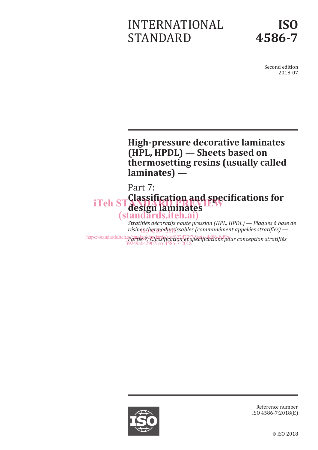# INTERNATIONAL STANDARD



Second edition 2018-07

## **High-pressure decorative laminates (HPL, HPDL) — Sheets based on thermosetting resins (usually called laminates) —**

#### Part 7: **Classification and specifications for design laminates** iTeh STANDARD PREVIEW (standards.iteh.ai)

*Stratifiés décoratifs haute pression (HPL, HPDL) — Plaques à base de*  résine<u>s thermodurci</u>ssables (communément appelées stratifiés) —

https://standards.iteh.ai/catalog/standards/sist/022d73f7-9a6a-4d56-bd9bour conception stratifiés 39249a642907/iso-4586-7-2018



Reference number ISO 4586-7:2018(E)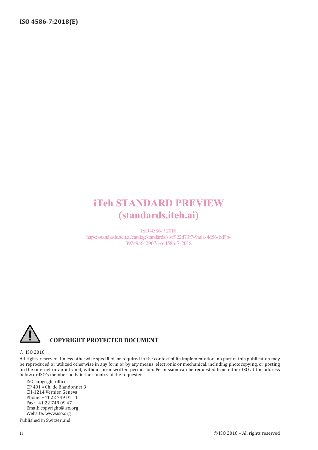# iTeh STANDARD PREVIEW (standards.iteh.ai)

ISO 4586-7:2018 https://standards.iteh.ai/catalog/standards/sist/922d73f7-9a6a-4d56-bd9b-39249a642907/iso-4586-7-2018



### **COPYRIGHT PROTECTED DOCUMENT**

#### © ISO 2018

All rights reserved. Unless otherwise specified, or required in the context of its implementation, no part of this publication may be reproduced or utilized otherwise in any form or by any means, electronic or mechanical, including photocopying, or posting on the internet or an intranet, without prior written permission. Permission can be requested from either ISO at the address below or ISO's member body in the country of the requester.

ISO copyright office CP 401 • Ch. de Blandonnet 8 CH-1214 Vernier, Geneva Phone: +41 22 749 01 11 Fax: +41 22 749 09 47 Email: copyright@iso.org Website: www.iso.org

Published in Switzerland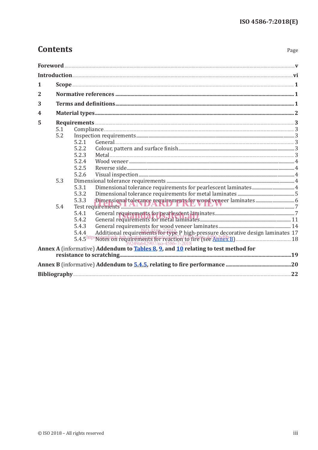## **Contents**

Page

|                         |                                                                                                                                                                                                                                                                                                                                                                                         | Introduction vi                                                                                                                                                                                                                         |  |  |  |  |
|-------------------------|-----------------------------------------------------------------------------------------------------------------------------------------------------------------------------------------------------------------------------------------------------------------------------------------------------------------------------------------------------------------------------------------|-----------------------------------------------------------------------------------------------------------------------------------------------------------------------------------------------------------------------------------------|--|--|--|--|
| 1                       | $\textbf{Scope} \texttt{} \texttt{} \texttt{} \texttt{} \texttt{} \texttt{} \texttt{} \texttt{} \texttt{} \texttt{} \texttt{} \texttt{} \texttt{} \texttt{} \texttt{} \texttt{} \texttt{} \texttt{} \texttt{} \texttt{} \texttt{} \texttt{} \texttt{} \texttt{} \texttt{} \texttt{} \texttt{} \texttt{} \texttt{} \texttt{} \texttt{} \texttt{} \texttt{} \texttt{} \texttt{} \texttt{$ |                                                                                                                                                                                                                                         |  |  |  |  |
| 2                       |                                                                                                                                                                                                                                                                                                                                                                                         |                                                                                                                                                                                                                                         |  |  |  |  |
| 3                       |                                                                                                                                                                                                                                                                                                                                                                                         |                                                                                                                                                                                                                                         |  |  |  |  |
| $\overline{\mathbf{4}}$ |                                                                                                                                                                                                                                                                                                                                                                                         |                                                                                                                                                                                                                                         |  |  |  |  |
| 5                       | Requirements 3                                                                                                                                                                                                                                                                                                                                                                          |                                                                                                                                                                                                                                         |  |  |  |  |
|                         | 5.1                                                                                                                                                                                                                                                                                                                                                                                     | Compliance 3 3                                                                                                                                                                                                                          |  |  |  |  |
|                         | 5.2                                                                                                                                                                                                                                                                                                                                                                                     |                                                                                                                                                                                                                                         |  |  |  |  |
|                         |                                                                                                                                                                                                                                                                                                                                                                                         | General 23 Senator 3 Senator 3 Senator 3 Senator 3 Senator 3 Senator 3 Senator 3 Senator 3 Senator 3 Senator 3 Senator 3 Senator 3 Senator 3 Senator 3 Senator 3 Senator 3 Senator 3 Senator 3 Senator 3 Senator 3 Senator 3 S<br>5.2.1 |  |  |  |  |
|                         |                                                                                                                                                                                                                                                                                                                                                                                         | 5.2.2                                                                                                                                                                                                                                   |  |  |  |  |
|                         |                                                                                                                                                                                                                                                                                                                                                                                         | 5.2.3                                                                                                                                                                                                                                   |  |  |  |  |
|                         |                                                                                                                                                                                                                                                                                                                                                                                         | 5.2.4                                                                                                                                                                                                                                   |  |  |  |  |
|                         |                                                                                                                                                                                                                                                                                                                                                                                         | 5.2.5                                                                                                                                                                                                                                   |  |  |  |  |
|                         |                                                                                                                                                                                                                                                                                                                                                                                         | 5.2.6                                                                                                                                                                                                                                   |  |  |  |  |
|                         | 5.3                                                                                                                                                                                                                                                                                                                                                                                     |                                                                                                                                                                                                                                         |  |  |  |  |
|                         |                                                                                                                                                                                                                                                                                                                                                                                         | 5.3.1                                                                                                                                                                                                                                   |  |  |  |  |
|                         |                                                                                                                                                                                                                                                                                                                                                                                         | 5.3.2                                                                                                                                                                                                                                   |  |  |  |  |
|                         |                                                                                                                                                                                                                                                                                                                                                                                         |                                                                                                                                                                                                                                         |  |  |  |  |
|                         | 5.4                                                                                                                                                                                                                                                                                                                                                                                     |                                                                                                                                                                                                                                         |  |  |  |  |
|                         |                                                                                                                                                                                                                                                                                                                                                                                         | 5.4.1                                                                                                                                                                                                                                   |  |  |  |  |
|                         |                                                                                                                                                                                                                                                                                                                                                                                         | 5.4.2                                                                                                                                                                                                                                   |  |  |  |  |
|                         |                                                                                                                                                                                                                                                                                                                                                                                         | 5.4.3                                                                                                                                                                                                                                   |  |  |  |  |
|                         |                                                                                                                                                                                                                                                                                                                                                                                         | Additional requirements for type P high-pressure decorative design laminates 17<br>5.4.4                                                                                                                                                |  |  |  |  |
|                         |                                                                                                                                                                                                                                                                                                                                                                                         |                                                                                                                                                                                                                                         |  |  |  |  |
|                         |                                                                                                                                                                                                                                                                                                                                                                                         |                                                                                                                                                                                                                                         |  |  |  |  |
|                         |                                                                                                                                                                                                                                                                                                                                                                                         |                                                                                                                                                                                                                                         |  |  |  |  |
|                         |                                                                                                                                                                                                                                                                                                                                                                                         |                                                                                                                                                                                                                                         |  |  |  |  |
|                         |                                                                                                                                                                                                                                                                                                                                                                                         | Bibliography 22                                                                                                                                                                                                                         |  |  |  |  |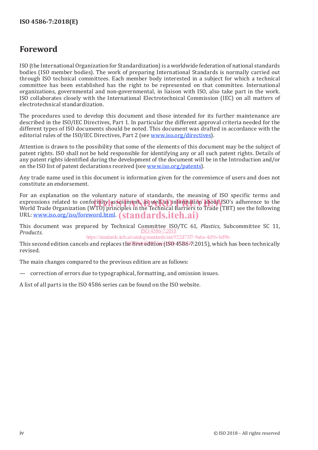### **Foreword**

ISO (the International Organization for Standardization) is a worldwide federation of national standards bodies (ISO member bodies). The work of preparing International Standards is normally carried out through ISO technical committees. Each member body interested in a subject for which a technical committee has been established has the right to be represented on that committee. International organizations, governmental and non-governmental, in liaison with ISO, also take part in the work. ISO collaborates closely with the International Electrotechnical Commission (IEC) on all matters of electrotechnical standardization.

The procedures used to develop this document and those intended for its further maintenance are described in the ISO/IEC Directives, Part 1. In particular the different approval criteria needed for the different types of ISO documents should be noted. This document was drafted in accordance with the editorial rules of the ISO/IEC Directives, Part 2 (see www.iso.org/directives).

Attention is drawn to the possibility that some of the elements of this document may be the subject of patent rights. ISO shall not be held responsible for identifying any or all such patent rights. Details of any patent rights identified during the development of the document will be in the Introduction and/or on the ISO list of patent declarations received (see www.iso.org/patents).

Any trade name used in this document is information given for the convenience of users and does not constitute an endorsement.

For an explanation on the voluntary nature of standards, the meaning of ISO specific terms and expressions related to conformity assessment, as well as information about ISO's adherence to the<br>World Trade Organization (WTO) principles in the Technical Barriers to Trade (TBT) see the following World Trade Organization (WTO) principles in the Technical Barriers to Trade (TBT) see the following URL: <u>www.iso.org/iso/foreword.html</u>. (standards.iteh.ai)

This document was prepared by Technical Committee ISO/TC 61, *Plastics*, Subcommittee SC 11, *Products*. ISO 4586-7:2018

https://standards.iteh.ai/catalog/standards/sist/922d73f7-9a6a-4d56-bd9b-

This second edition cancels and replaces the first edition (1SO 4586 7:2015), which has been technically revised.

The main changes compared to the previous edition are as follows:

— correction of errors due to typographical, formatting, and omission issues.

A list of all parts in the ISO 4586 series can be found on the ISO website.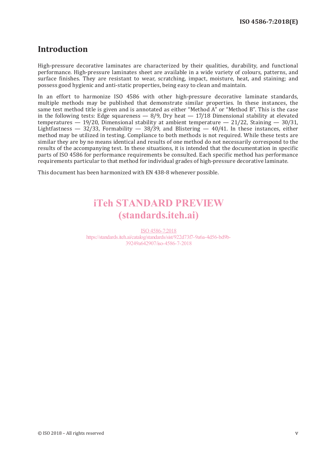### **Introduction**

High-pressure decorative laminates are characterized by their qualities, durability, and functional performance. High-pressure laminates sheet are available in a wide variety of colours, patterns, and surface finishes. They are resistant to wear, scratching, impact, moisture, heat, and staining; and possess good hygienic and anti-static properties, being easy to clean and maintain.

In an effort to harmonize ISO 4586 with other high-pressure decorative laminate standards, multiple methods may be published that demonstrate similar properties. In these instances, the same test method title is given and is annotated as either "Method A" or "Method B". This is the case in the following tests: Edge squareness  $-$  8/9, Dry heat  $-$  17/18 Dimensional stability at elevated temperatures — 19/20, Dimensional stability at ambient temperature — 21/22, Staining — 30/31, Lightfastness — 32/33, Formability — 38/39, and Blistering — 40/41. In these instances, either method may be utilized in testing. Compliance to both methods is not required. While these tests are similar they are by no means identical and results of one method do not necessarily correspond to the results of the accompanying test. In these situations, it is intended that the documentation in specific parts of ISO 4586 for performance requirements be consulted. Each specific method has performance requirements particular to that method for individual grades of high-pressure decorative laminate.

This document has been harmonized with EN 438-8 whenever possible.

# iTeh STANDARD PREVIEW (standards.iteh.ai)

ISO 4586-7:2018 https://standards.iteh.ai/catalog/standards/sist/922d73f7-9a6a-4d56-bd9b-39249a642907/iso-4586-7-2018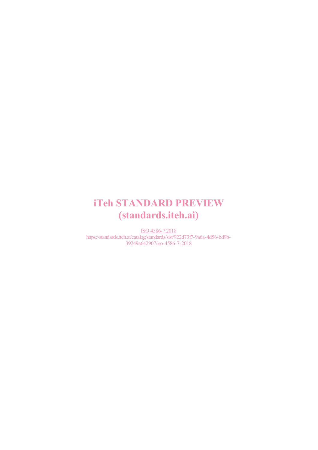# iTeh STANDARD PREVIEW (standards.iteh.ai)

ISO 4586-7:2018 https://standards.iteh.ai/catalog/standards/sist/922d73f7-9a6a-4d56-bd9b-39249a642907/iso-4586-7-2018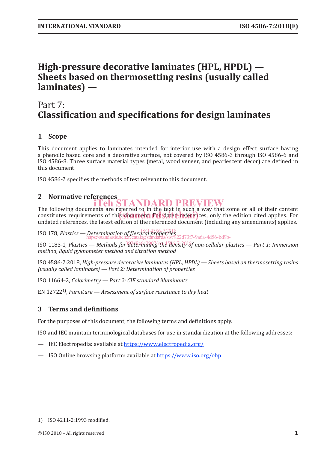## **High-pressure decorative laminates (HPL, HPDL) — Sheets based on thermosetting resins (usually called laminates) —**

## Part 7: **Classification and specifications for design laminates**

### **1 Scope**

This document applies to laminates intended for interior use with a design effect surface having a phenolic based core and a decorative surface, not covered by ISO 4586-3 through ISO 4586-6 and ISO 4586-8. Three surface material types (metal, wood veneer, and pearlescent décor) are defined in this document.

ISO 4586-2 specifies the methods of test relevant to this document.

### **2 Normative references**

## 'eh STANDARD PREVIEW

The following documents are referred to in the text in such a way that some or all of their content The following documents are referred to in the text in such a way that some of an of their content<br>constitutes requirements of this document. For dated references, only the edition cited applies. For undated references, the latest edition of the referenced document (including any amendments) applies.

ISO 178, *Plastics — Determination of flexural properties* ISO 4586-7:2018 https://standards.iteh.ai/catalog/standards/sist/922d73f7-9a6a-4d56-bd9b-

ISO 1183-1, Plastics — Methods for determining the density of non-cellular plastics — Part 1: Immersion *method, liquid pyknometer method and titration method*

ISO 4586-2:2018, *High-pressure decorative laminates (HPL, HPDL) — Sheets based on thermosetting resins (usually called laminates) — Part 2: Determination of properties*

ISO 11664-2, *Colorimetry — Part 2: CIE standard illuminants*

EN 127221), *Furniture — Assessment of surface resistance to dry heat*

### **3 Terms and definitions**

For the purposes of this document, the following terms and definitions apply.

ISO and IEC maintain terminological databases for use in standardization at the following addresses:

- IEC Electropedia: available at https://www.electropedia.org/
- ISO Online browsing platform: available at https://www.iso.org/obp

<sup>1)</sup> ISO 4211‑2:1993 modified.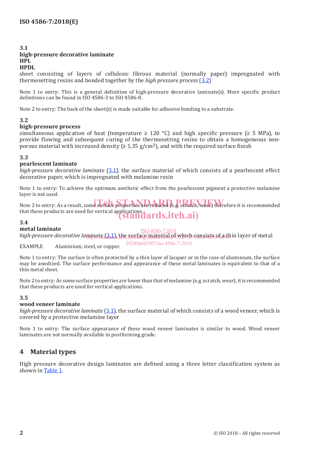#### **3.1 high-pressure decorative laminate**

#### **HPL HPDL**

sheet consisting of layers of cellulosic fibrous material (normally paper) impregnated with thermosetting resins and bonded together by the *high pressure process* (3.2)

Note 1 to entry: This is a general definition of high-pressure decorative laminate(s). More specific product definitions can be found in ISO 4586-3 to ISO 4586-8.

Note 2 to entry: The back of the sheet(s) is made suitable for adhesive bonding to a substrate.

#### **3.2**

#### **high-pressure process**

simultaneous application of heat (temperature  $\geq 120$  °C) and high specific pressure ( $\geq 5$  MPa), to provide flowing and subsequent curing of the thermosetting resins to obtain a homogeneous nonporous material with increased density ( $\geq 1.35$  g/cm<sup>3</sup>), and with the required surface finish

#### **3.3**

#### **pearlescent laminate**

*high-pressure decorative laminate* (3.1), the surface material of which consists of a pearlescent effect decorative paper, which is impregnated with melamine resin

Note 1 to entry: To achieve the optimum aesthetic effect from the pearlescent pigment a protective melamine layer is not used.

Note 2 to entry: As a result, some surface properties are reduced (e.g. scratch, wear) therefore it is recommended that these products are used for vertical applications.<br>Candards.iteh.ai)

#### **3.4**

#### **metal laminate**

ISO 4586-7:2018

high-pressure decorative laminate.[<u>3.1], the surface material of which consists of a</u> thin layer of metal

EXAMPLE Aluminium, steel, or copper. 39249a642907/iso-4586-7-2018

Note 1 to entry: The surface is often protected by a thin layer of lacquer or in the case of aluminium, the surface may be anodized. The surface performance and appearance of these metal laminates is equivalent to that of a thin metal sheet.

Note 2 to entry: As some surface properties are lower than that of melamine (e.g. scratch, wear), it is recommended that these products are used for vertical applications.

#### **3.5**

#### **wood veneer laminate**

*high-pressure decorative laminate* (3.1), the surface material of which consists of a wood veneer, which is covered by a protective melamine layer

Note 1 to entry: The surface appearance of these wood veneer laminates is similar to wood. Wood veneer laminates are not normally available in postforming grade.

#### **4 Material types**

High pressure decorative design laminates are defined using a three letter classification system as shown in Table 1.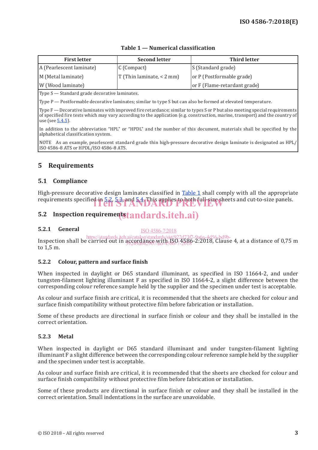| <b>First letter</b>      | <b>Second letter</b>        | Third letter                         |
|--------------------------|-----------------------------|--------------------------------------|
| A (Pearlescent laminate) | $ C$ (Compact)              | S (Standard grade)                   |
| M (Metal laminate)       | $T$ (Thin laminate, < 2 mm) | $\vert$ or P (Postformable grade)    |
| W (Wood laminate)        |                             | $\vert$ or F (Flame-retardant grade) |

#### **Table 1 — Numerical classification**

Type S — Standard grade decorative laminates.

Type P — Postformable decorative laminates; similar to type S but can also be formed at elevated temperature.

Type F — Decorative laminates with improved fire retardance; similar to types S or P but also meeting special requirements of specified fire tests which may vary according to the application (e.g. construction, marine, transport) and the country of use (see 5.4.5).

In addition to the abbreviation "HPL" or "HPDL" and the number of this document, materials shall be specified by the alphabetical classification system.

NOTE As an example, pearlescent standard grade thin high-pressure decorative design laminate is designated as HPL/ ISO 4586-8 ATS or HPDL/ISO 4586-8 ATS.

#### **5 Requirements**

#### **5.1 Compliance**

High-pressure decorative design laminates classified in Table 1 shall comply with all the appropriate requirements specified in 5.2, 5.3, and 5.4. This applies to both full-size sheets and cut-to-size panels.<br>The STANDARD PREVIEW

## 5.2 Inspection requirements tandards.itch.ai)

#### **5.2.1 General**

#### ISO 4586-7:2018

Inspection shall be carried out in accordance with ISO 4586-2:2018, Clause 4, at a distance of 0,75 m to 1,5 m. https://standards.iteh.ai/catalog/standards/sist/922d73f7-9a6a-4d56-bd9b-39249a642907/iso-4586-7-2018

#### **5.2.2 Colour, pattern and surface finish**

When inspected in daylight or D65 standard illuminant, as specified in ISO 11664-2, and under tungsten-filament lighting illuminant F as specified in ISO 11664-2, a slight difference between the corresponding colour reference sample held by the supplier and the specimen under test is acceptable.

As colour and surface finish are critical, it is recommended that the sheets are checked for colour and surface finish compatibility without protective film before fabrication or installation.

Some of these products are directional in surface finish or colour and they shall be installed in the correct orientation.

#### **5.2.3 Metal**

When inspected in daylight or D65 standard illuminant and under tungsten-filament lighting illuminant F a slight difference between the corresponding colour reference sample held by the supplier and the specimen under test is acceptable.

As colour and surface finish are critical, it is recommended that the sheets are checked for colour and surface finish compatibility without protective film before fabrication or installation.

Some of these products are directional in surface finish or colour and they shall be installed in the correct orientation. Small indentations in the surface are unavoidable.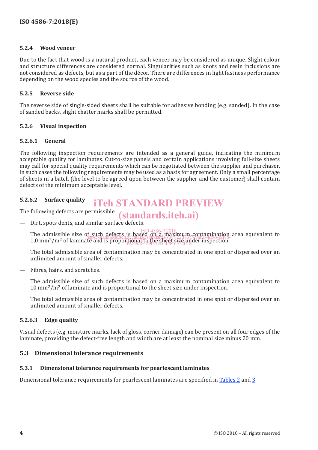#### **5.2.4 Wood veneer**

Due to the fact that wood is a natural product, each veneer may be considered as unique. Slight colour and structure differences are considered normal. Singularities such as knots and resin inclusions are not considered as defects, but as a part of the décor. There are differences in light fastness performance depending on the wood species and the source of the wood.

#### **5.2.5 Reverse side**

The reverse side of single-sided sheets shall be suitable for adhesive bonding (e.g. sanded). In the case of sanded backs, slight chatter marks shall be permitted.

#### **5.2.6 Visual inspection**

#### **5.2.6.1 General**

The following inspection requirements are intended as a general guide, indicating the minimum acceptable quality for laminates. Cut-to-size panels and certain applications involving full-size sheets may call for special quality requirements which can be negotiated between the supplier and purchaser, in such cases the following requirements may be used as a basis for agreement. Only a small percentage of sheets in a batch (the level to be agreed upon between the supplier and the customer) shall contain defects of the minimum acceptable level.

#### **5.2.6.2 Surface quality** iTeh STANDARD PREVIEW

The following defects are permissible. (**standards.iteh.ai**)

— Dirt, spots dents, and similar surface defects.

The admissible size of such defects is based on a maximum contamination area equivalent to 1,0 mm<sup>2</sup>/m<sup>2</sup> of laminate and is proportional to the sheet size under inspection. ISO 4586-7:2018 https://standards.iteh.ai/catalog/standards/sist/922d73f7-9a6a-4d56-bd9b-39249a642907/iso-4586-7-2018

The total admissible area of contamination may be concentrated in one spot or dispersed over an unlimited amount of smaller defects.

— Fibres, hairs, and scratches.

The admissible size of such defects is based on a maximum contamination area equivalent to  $10 \text{ mm}^2/\text{m}^2$  of laminate and is proportional to the sheet size under inspection.

The total admissible area of contamination may be concentrated in one spot or dispersed over an unlimited amount of smaller defects.

#### **5.2.6.3 Edge quality**

Visual defects (e.g. moisture marks, lack of gloss, corner damage) can be present on all four edges of the laminate, providing the defect-free length and width are at least the nominal size minus 20 mm.

#### **5.3 Dimensional tolerance requirements**

#### **5.3.1 Dimensional tolerance requirements for pearlescent laminates**

Dimensional tolerance requirements for pearlescent laminates are specified in Tables 2 and 3.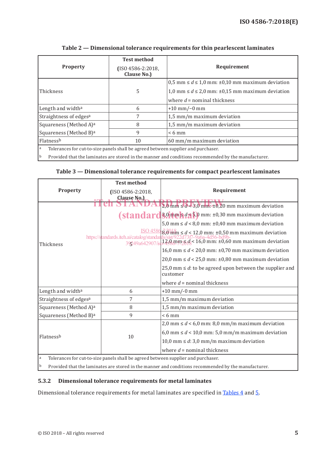|                                                                                                             | <b>Test method</b>                      |                                                              |  |
|-------------------------------------------------------------------------------------------------------------|-----------------------------------------|--------------------------------------------------------------|--|
| Property                                                                                                    | (ISO 4586-2:2018,<br><b>Clause No.)</b> | Requirement                                                  |  |
|                                                                                                             |                                         | $0.5$ mm $\le d \le 1.0$ mm: $\pm 0.10$ mm maximum deviation |  |
| Thickness                                                                                                   | 5                                       | 1,0 mm $\le d \le 2.0$ mm: $\pm 0.15$ mm maximum deviation   |  |
|                                                                                                             |                                         | where $d =$ nominal thickness                                |  |
| Length and width <sup>a</sup>                                                                               | 6                                       | $+10$ mm/-0 mm                                               |  |
| Straightness of edgesa                                                                                      | 7                                       | 1,5 mm/m maximum deviation                                   |  |
| Squareness (Method A) <sup>a</sup>                                                                          | 8                                       | 1,5 mm/m maximum deviation                                   |  |
| Squareness (Method B)a                                                                                      | 9                                       | $< 6$ mm                                                     |  |
| <b>Flatnessb</b>                                                                                            | 10                                      | 60 mm/m maximum deviation                                    |  |
| Tolerances for cut-to-size panels shall be agreed between supplier and purchaser.<br>a                      |                                         |                                                              |  |
| l b<br>Provided that the laminates are stored in the manner and conditions recommended by the manufacturer. |                                         |                                                              |  |

**Table 2 — Dimensional tolerance requirements for thin pearlescent laminates**

**Table 3 — Dimensional tolerance requirements for compact pearlescent laminates**

|                                                                                                           | <b>Test method</b>                      | Requirement                                                                                                                                                                                                                                                                |  |  |
|-----------------------------------------------------------------------------------------------------------|-----------------------------------------|----------------------------------------------------------------------------------------------------------------------------------------------------------------------------------------------------------------------------------------------------------------------------|--|--|
| Property                                                                                                  | (ISO 4586-2:2018,<br><b>Clause No.)</b> |                                                                                                                                                                                                                                                                            |  |  |
|                                                                                                           |                                         | $2,0$ mm $\le d < 3,0$ mm. $\pm 0,20$ mm maximum deviation                                                                                                                                                                                                                 |  |  |
|                                                                                                           | <b>(standard</b>                        | $3.0$ mm $\leq d \leq 5.0$ mm: ±0.30 mm maximum deviation                                                                                                                                                                                                                  |  |  |
|                                                                                                           |                                         | 5,0 mm $\le d < 8,0$ mm: $\pm 0,40$ mm maximum deviation                                                                                                                                                                                                                   |  |  |
| Thickness                                                                                                 |                                         | $\hbox{https://standards.iteh.aicatalog/standards/sist/922d73f7-9a6a-4d56-bd9b-} \label{eq:21}$ https://standards.iteh.ai/catalog/standards/sist/922d73f7-9a6a-4d56-bd9b-<br>39249a642907/isp <sup>14</sup> 78&mpn261s <sup>&lt;</sup> 16,0 mm: ±0,60 mm maximum deviation |  |  |
|                                                                                                           |                                         | 16,0 mm $\leq d < 20,0$ mm: $\pm 0,70$ mm maximum deviation                                                                                                                                                                                                                |  |  |
|                                                                                                           |                                         | 20,0 mm $\leq d <$ 25,0 mm: $\pm$ 0,80 mm maximum deviation                                                                                                                                                                                                                |  |  |
|                                                                                                           |                                         | 25,0 mm $\leq d$ : to be agreed upon between the supplier and<br>customer                                                                                                                                                                                                  |  |  |
|                                                                                                           |                                         | where $d =$ nominal thickness                                                                                                                                                                                                                                              |  |  |
| Length and widtha                                                                                         | 6                                       | $+10$ mm/-0 mm                                                                                                                                                                                                                                                             |  |  |
| Straightness of edgesa                                                                                    | 7                                       | 1,5 mm/m maximum deviation                                                                                                                                                                                                                                                 |  |  |
| Squareness (Method A) <sup>a</sup>                                                                        | 8                                       | 1,5 mm/m maximum deviation                                                                                                                                                                                                                                                 |  |  |
| Squareness (Method B)a                                                                                    | 9                                       | $< 6 \,\mathrm{mm}$                                                                                                                                                                                                                                                        |  |  |
|                                                                                                           |                                         | 2,0 mm $\le d$ < 6,0 mm: 8,0 mm/m maximum deviation                                                                                                                                                                                                                        |  |  |
| Flatnessb                                                                                                 | 10                                      | 6,0 mm $\le d$ < 10,0 mm: 5,0 mm/m maximum deviation                                                                                                                                                                                                                       |  |  |
|                                                                                                           |                                         | 10,0 mm $\leq d$ : 3,0 mm/m maximum deviation                                                                                                                                                                                                                              |  |  |
|                                                                                                           |                                         | where $d =$ nominal thickness                                                                                                                                                                                                                                              |  |  |
| Tolerances for cut-to-size panels shall be agreed between supplier and purchaser.<br>$\rm{a}$             |                                         |                                                                                                                                                                                                                                                                            |  |  |
| Provided that the laminates are stored in the manner and conditions recommended by the manufacturer.<br>b |                                         |                                                                                                                                                                                                                                                                            |  |  |

#### **5.3.2 Dimensional tolerance requirements for metal laminates**

Dimensional tolerance requirements for metal laminates are specified in Tables 4 and 5.